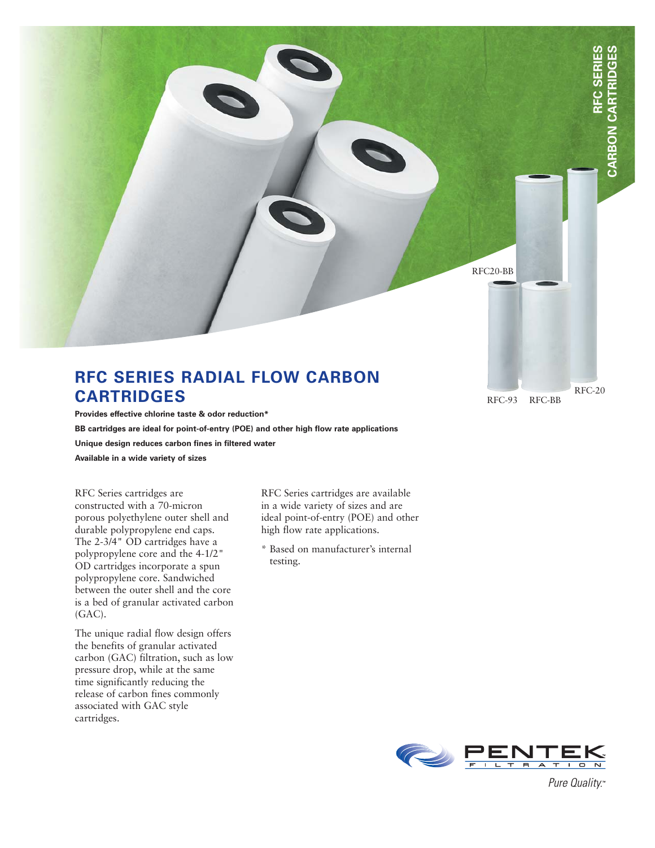

## **RFC SERIES RADIAL FLOW CARBON CARTRIDGES**

**Provides effective chlorine taste & odor reduction\* BB cartridges are ideal for point-of-entry (POE) and other high flow rate applications**

**Unique design reduces carbon fines in filtered water**

**Available in a wide variety of sizes**

RFC Series cartridges are constructed with a 70-micron porous polyethylene outer shell and durable polypropylene end caps. The 2-3/4" OD cartridges have a polypropylene core and the 4-1/2" OD cartridges incorporate a spun polypropylene core. Sandwiched between the outer shell and the core is a bed of granular activated carbon (GAC).

The unique radial flow design offers the benefits of granular activated carbon (GAC) filtration, such as low pressure drop, while at the same time significantly reducing the release of carbon fines commonly associated with GAC style cartridges.

RFC Series cartridges are available in a wide variety of sizes and are ideal point-of-entry (POE) and other high flow rate applications.

\* Based on manufacturer's internal testing.



Pure Quality.™

RFC-20

RFC-93 RFC-BB